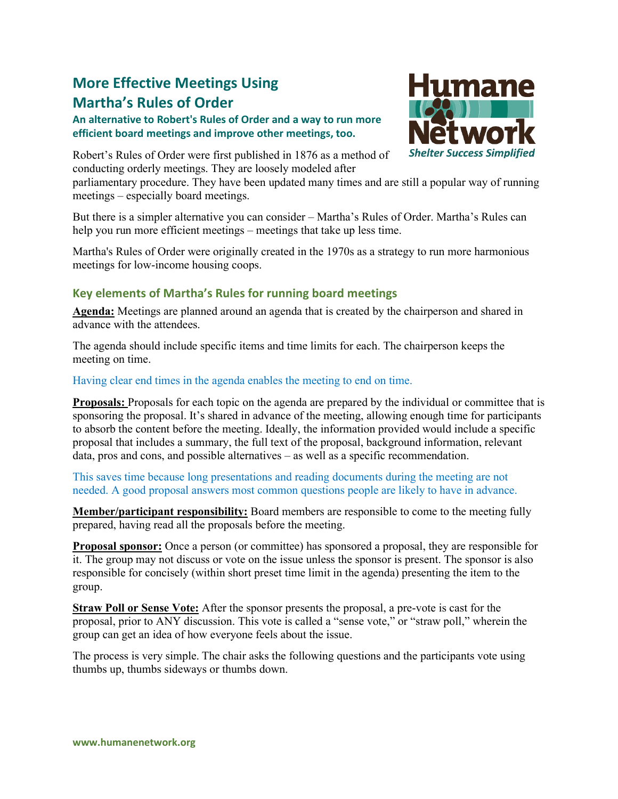# **More Effective Meetings Using Martha's Rules of Order**

**An alternative to Robert's Rules of Order and a way to run more efficient board meetings and improve other meetings, too.**

Robert's Rules of Order were first published in 1876 as a method of conducting orderly meetings. They are loosely modeled after

parliamentary procedure. They have been updated many times and are still a popular way of running meetings – especially board meetings.

But there is a simpler alternative you can consider – Martha's Rules of Order. Martha's Rules can help you run more efficient meetings – meetings that take up less time.

Martha's Rules of Order were originally created in the 1970s as a strategy to run more harmonious meetings for low-income housing coops.

### **Key elements of Martha's Rules for running board meetings**

**Agenda:** Meetings are planned around an agenda that is created by the chairperson and shared in advance with the attendees.

The agenda should include specific items and time limits for each. The chairperson keeps the meeting on time.

#### Having clear end times in the agenda enables the meeting to end on time.

**Proposals:** Proposals for each topic on the agenda are prepared by the individual or committee that is sponsoring the proposal. It's shared in advance of the meeting, allowing enough time for participants to absorb the content before the meeting. Ideally, the information provided would include a specific proposal that includes a summary, the full text of the proposal, background information, relevant data, pros and cons, and possible alternatives – as well as a specific recommendation.

This saves time because long presentations and reading documents during the meeting are not needed. A good proposal answers most common questions people are likely to have in advance.

**Member/participant responsibility:** Board members are responsible to come to the meeting fully prepared, having read all the proposals before the meeting.

**Proposal sponsor:** Once a person (or committee) has sponsored a proposal, they are responsible for it. The group may not discuss or vote on the issue unless the sponsor is present. The sponsor is also responsible for concisely (within short preset time limit in the agenda) presenting the item to the group.

**Straw Poll or Sense Vote:** After the sponsor presents the proposal, a pre-vote is cast for the proposal, prior to ANY discussion. This vote is called a "sense vote," or "straw poll," wherein the group can get an idea of how everyone feels about the issue.

The process is very simple. The chair asks the following questions and the participants vote using thumbs up, thumbs sideways or thumbs down.